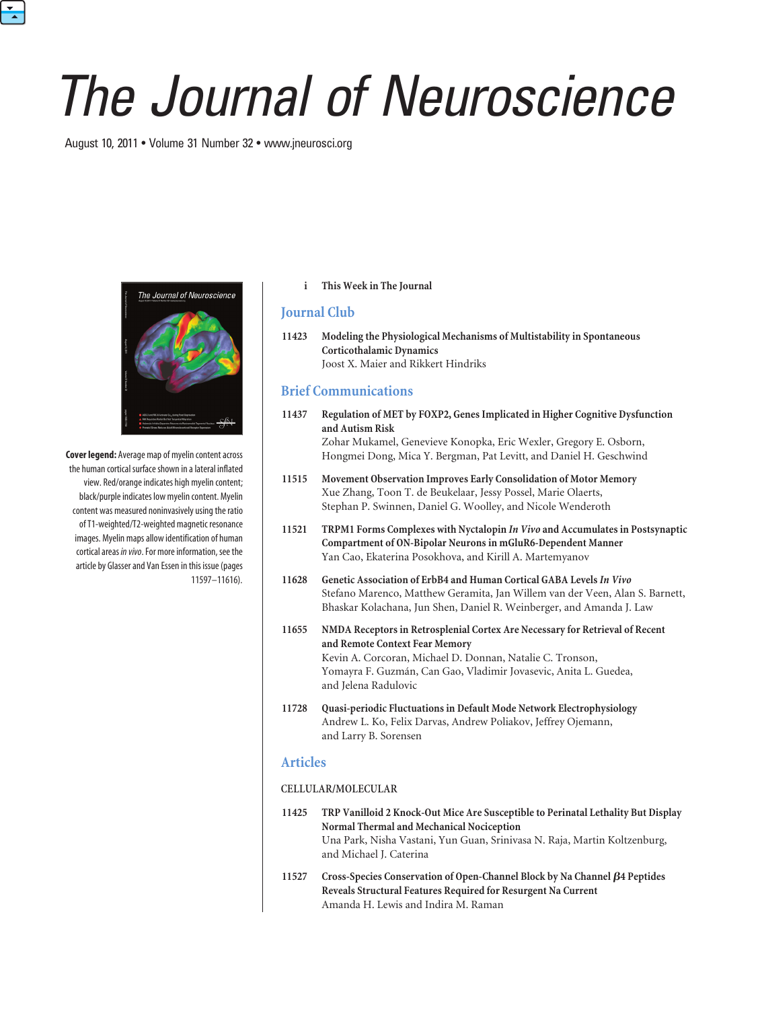# *The Journal of Neuroscience*

August 10, 2011 • Volume 31 Number 32 • www.jneurosci.org

 $\frac{1}{\sqrt{2}}$ 



**Cover legend:** Average map of myelin content across the human cortical surface shown in a lateral inflated view. Red/orange indicates high myelin content; black/purple indicates low myelin content. Myelin content was measured noninvasively using the ratio of T1-weighted/T2-weighted magnetic resonance images. Myelin maps allow identification of human cortical areas *in vivo*. For more information, see the article by Glasser and Van Essen in this issue (pages 11597–11616).

### **i This Week in The Journal**

# **Journal Club**

**11423 Modeling the Physiological Mechanisms of Multistability in Spontaneous Corticothalamic Dynamics** Joost X. Maier and Rikkert Hindriks

# **Brief Communications**

- **11437 Regulation of MET by FOXP2, Genes Implicated in Higher Cognitive Dysfunction and Autism Risk** Zohar Mukamel, Genevieve Konopka, Eric Wexler, Gregory E. Osborn, Hongmei Dong, Mica Y. Bergman, Pat Levitt, and Daniel H. Geschwind
- **11515 Movement Observation Improves Early Consolidation of Motor Memory** Xue Zhang, Toon T. de Beukelaar, Jessy Possel, Marie Olaerts, Stephan P. Swinnen, Daniel G. Woolley, and Nicole Wenderoth
- **11521 TRPM1 Forms Complexes with Nyctalopin** *In Vivo* **and Accumulates in Postsynaptic Compartment of ON-Bipolar Neurons in mGluR6-Dependent Manner** Yan Cao, Ekaterina Posokhova, and Kirill A. Martemyanov
- **11628 Genetic Association of ErbB4 and Human Cortical GABA Levels***In Vivo* Stefano Marenco, Matthew Geramita, Jan Willem van der Veen, Alan S. Barnett, Bhaskar Kolachana, Jun Shen, Daniel R. Weinberger, and Amanda J. Law
- **11655 NMDA Receptors in Retrosplenial Cortex Are Necessary for Retrieval of Recent and Remote Context Fear Memory** Kevin A. Corcoran, Michael D. Donnan, Natalie C. Tronson, Yomayra F. Guzmán, Can Gao, Vladimir Jovasevic, Anita L. Guedea, and Jelena Radulovic
- **11728 Quasi-periodic Fluctuations in Default Mode Network Electrophysiology** Andrew L. Ko, Felix Darvas, Andrew Poliakov, Jeffrey Ojemann, and Larry B. Sorensen

# **Articles**

## **CELLULAR/MOLECULAR**

- **11425 TRP Vanilloid 2 Knock-Out Mice Are Susceptible to Perinatal Lethality But Display Normal Thermal and Mechanical Nociception** Una Park, Nisha Vastani, Yun Guan, Srinivasa N. Raja, Martin Koltzenburg, and Michael J. Caterina
- **11527 Cross-Species Conservation of Open-Channel Block by Na Channel 4 Peptides Reveals Structural Features Required for Resurgent Na Current** Amanda H. Lewis and Indira M. Raman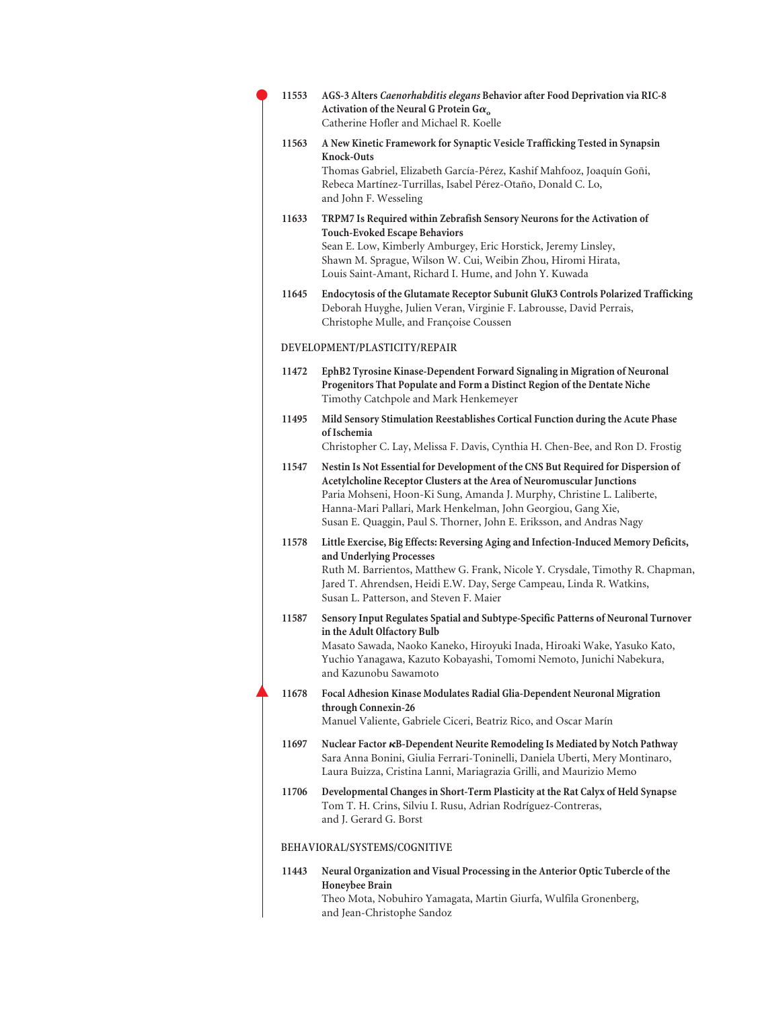|  | 11553 | AGS-3 Alters Caenorhabditis elegans Behavior after Food Deprivation via RIC-8<br>Activation of the Neural G Protein G $\alpha$ <sub>o</sub><br>Catherine Hofler and Michael R. Koelle                                                                                                                                                                                         |
|--|-------|-------------------------------------------------------------------------------------------------------------------------------------------------------------------------------------------------------------------------------------------------------------------------------------------------------------------------------------------------------------------------------|
|  | 11563 | A New Kinetic Framework for Synaptic Vesicle Trafficking Tested in Synapsin<br>Knock-Outs<br>Thomas Gabriel, Elizabeth García-Pérez, Kashif Mahfooz, Joaquín Goñi,<br>Rebeca Martínez-Turrillas, Isabel Pérez-Otaño, Donald C. Lo,<br>and John F. Wesseling                                                                                                                   |
|  | 11633 | TRPM7 Is Required within Zebrafish Sensory Neurons for the Activation of<br><b>Touch-Evoked Escape Behaviors</b><br>Sean E. Low, Kimberly Amburgey, Eric Horstick, Jeremy Linsley,<br>Shawn M. Sprague, Wilson W. Cui, Weibin Zhou, Hiromi Hirata,<br>Louis Saint-Amant, Richard I. Hume, and John Y. Kuwada                                                                  |
|  | 11645 | Endocytosis of the Glutamate Receptor Subunit GluK3 Controls Polarized Trafficking<br>Deborah Huyghe, Julien Veran, Virginie F. Labrousse, David Perrais,<br>Christophe Mulle, and Françoise Coussen                                                                                                                                                                          |
|  |       | DEVELOPMENT/PLASTICITY/REPAIR                                                                                                                                                                                                                                                                                                                                                 |
|  | 11472 | EphB2 Tyrosine Kinase-Dependent Forward Signaling in Migration of Neuronal<br>Progenitors That Populate and Form a Distinct Region of the Dentate Niche<br>Timothy Catchpole and Mark Henkemeyer                                                                                                                                                                              |
|  | 11495 | Mild Sensory Stimulation Reestablishes Cortical Function during the Acute Phase<br>of Ischemia<br>Christopher C. Lay, Melissa F. Davis, Cynthia H. Chen-Bee, and Ron D. Frostig                                                                                                                                                                                               |
|  | 11547 | Nestin Is Not Essential for Development of the CNS But Required for Dispersion of<br>Acetylcholine Receptor Clusters at the Area of Neuromuscular Junctions<br>Paria Mohseni, Hoon-Ki Sung, Amanda J. Murphy, Christine L. Laliberte,<br>Hanna-Mari Pallari, Mark Henkelman, John Georgiou, Gang Xie,<br>Susan E. Quaggin, Paul S. Thorner, John E. Eriksson, and Andras Nagy |
|  | 11578 | Little Exercise, Big Effects: Reversing Aging and Infection-Induced Memory Deficits,<br>and Underlying Processes<br>Ruth M. Barrientos, Matthew G. Frank, Nicole Y. Crysdale, Timothy R. Chapman,<br>Jared T. Ahrendsen, Heidi E.W. Day, Serge Campeau, Linda R. Watkins,<br>Susan L. Patterson, and Steven F. Maier                                                          |
|  | 11587 | Sensory Input Regulates Spatial and Subtype-Specific Patterns of Neuronal Turnover<br>in the Adult Olfactory Bulb<br>Masato Sawada, Naoko Kaneko, Hiroyuki Inada, Hiroaki Wake, Yasuko Kato,<br>Yuchio Yanagawa, Kazuto Kobayashi, Tomomi Nemoto, Junichi Nabekura,<br>and Kazunobu Sawamoto                                                                                  |
|  | 11678 | Focal Adhesion Kinase Modulates Radial Glia-Dependent Neuronal Migration<br>through Connexin-26<br>Manuel Valiente, Gabriele Ciceri, Beatriz Rico, and Oscar Marín                                                                                                                                                                                                            |
|  | 11697 | Nuclear Factor KB-Dependent Neurite Remodeling Is Mediated by Notch Pathway<br>Sara Anna Bonini, Giulia Ferrari-Toninelli, Daniela Uberti, Mery Montinaro,<br>Laura Buizza, Cristina Lanni, Mariagrazia Grilli, and Maurizio Memo                                                                                                                                             |
|  | 11706 | Developmental Changes in Short-Term Plasticity at the Rat Calyx of Held Synapse<br>Tom T. H. Crins, Silviu I. Rusu, Adrian Rodríguez-Contreras,<br>and J. Gerard G. Borst                                                                                                                                                                                                     |
|  |       | BEHAVIORAL/SYSTEMS/COGNITIVE                                                                                                                                                                                                                                                                                                                                                  |
|  | 11443 | Neural Organization and Visual Processing in the Anterior Optic Tubercle of the<br>Honeybee Brain<br>Theo Mota, Nobuhiro Yamagata, Martin Giurfa, Wulfila Gronenberg,                                                                                                                                                                                                         |

and Jean-Christophe Sandoz